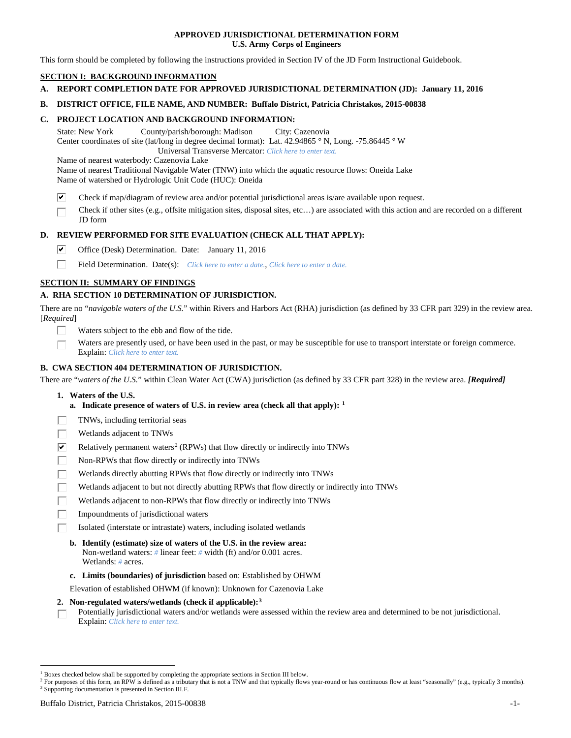## **APPROVED JURISDICTIONAL DETERMINATION FORM U.S. Army Corps of Engineers**

This form should be completed by following the instructions provided in Section IV of the JD Form Instructional Guidebook.

# **SECTION I: BACKGROUND INFORMATION**

**A. REPORT COMPLETION DATE FOR APPROVED JURISDICTIONAL DETERMINATION (JD): January 11, 2016**

## **B. DISTRICT OFFICE, FILE NAME, AND NUMBER: Buffalo District, Patricia Christakos, 2015-00838**

## **C. PROJECT LOCATION AND BACKGROUND INFORMATION:**

State: New York County/parish/borough: Madison City: Cazenovia Center coordinates of site (lat/long in degree decimal format): Lat. 42.94865 ° N, Long. -75.86445 ° W Universal Transverse Mercator: *Click here to enter text.*

Name of nearest waterbody: Cazenovia Lake

Name of nearest Traditional Navigable Water (TNW) into which the aquatic resource flows: Oneida Lake Name of watershed or Hydrologic Unit Code (HUC): Oneida

- ☑ Check if map/diagram of review area and/or potential jurisdictional areas is/are available upon request.
- Check if other sites (e.g., offsite mitigation sites, disposal sites, etc…) are associated with this action and are recorded on a different JD form

## **D. REVIEW PERFORMED FOR SITE EVALUATION (CHECK ALL THAT APPLY):**

- ⊽ Office (Desk) Determination. Date: January 11, 2016
- п Field Determination. Date(s): *Click here to enter a date.*, *Click here to enter a date.*

# **SECTION II: SUMMARY OF FINDINGS**

## **A. RHA SECTION 10 DETERMINATION OF JURISDICTION.**

There are no "*navigable waters of the U.S.*" within Rivers and Harbors Act (RHA) jurisdiction (as defined by 33 CFR part 329) in the review area. [*Required*]

- Waters subject to the ebb and flow of the tide.
- Waters are presently used, or have been used in the past, or may be susceptible for use to transport interstate or foreign commerce. Explain: *Click here to enter text.*

## **B. CWA SECTION 404 DETERMINATION OF JURISDICTION.**

There are "*waters of the U.S.*" within Clean Water Act (CWA) jurisdiction (as defined by 33 CFR part 328) in the review area. *[Required]*

- **1. Waters of the U.S.**
	- **a. Indicate presence of waters of U.S. in review area (check all that apply): [1](#page-0-0)**
- TNWs, including territorial seas
- Wetlands adjacent to TNWs
- $\overline{\mathbf{v}}$ Relatively permanent waters<sup>[2](#page-0-1)</sup> (RPWs) that flow directly or indirectly into TNWs
- П Non-RPWs that flow directly or indirectly into TNWs
- Wetlands directly abutting RPWs that flow directly or indirectly into TNWs
- Wetlands adjacent to but not directly abutting RPWs that flow directly or indirectly into TNWs
- Wetlands adjacent to non-RPWs that flow directly or indirectly into TNWs
- Impoundments of jurisdictional waters
- Isolated (interstate or intrastate) waters, including isolated wetlands
	- **b. Identify (estimate) size of waters of the U.S. in the review area:** Non-wetland waters: *#* linear feet: *#* width (ft) and/or 0.001 acres. Wetlands: *#* acres.
	- **c. Limits (boundaries) of jurisdiction** based on: Established by OHWM

Elevation of established OHWM (if known): Unknown for Cazenovia Lake

## **2. Non-regulated waters/wetlands (check if applicable):[3](#page-0-2)**

Potentially jurisdictional waters and/or wetlands were assessed within the review area and determined to be not jurisdictional. П Explain: *Click here to enter text.*

<span id="page-0-0"></span> <sup>1</sup> Boxes checked below shall be supported by completing the appropriate sections in Section III below.

<span id="page-0-2"></span><span id="page-0-1"></span><sup>&</sup>lt;sup>2</sup> For purposes of this form, an RPW is defined as a tributary that is not a TNW and that typically flows year-round or has continuous flow at least "seasonally" (e.g., typically 3 months). <sup>3</sup> Supporting documentation is presented in Section III.F.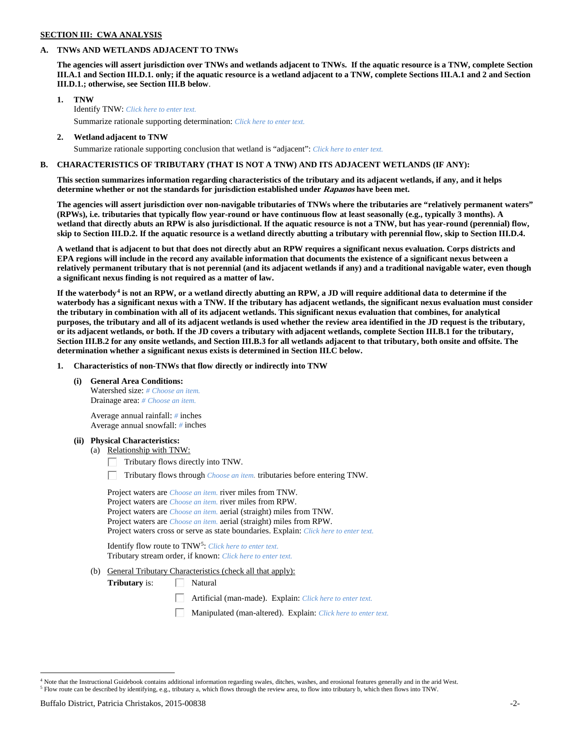# **SECTION III: CWA ANALYSIS**

### **A. TNWs AND WETLANDS ADJACENT TO TNWs**

**The agencies will assert jurisdiction over TNWs and wetlands adjacent to TNWs. If the aquatic resource is a TNW, complete Section III.A.1 and Section III.D.1. only; if the aquatic resource is a wetland adjacent to a TNW, complete Sections III.A.1 and 2 and Section III.D.1.; otherwise, see Section III.B below**.

- **1. TNW**  Identify TNW: *Click here to enter text.*
	- Summarize rationale supporting determination: *Click here to enter text.*
- **2. Wetland adjacent to TNW** Summarize rationale supporting conclusion that wetland is "adjacent": *Click here to enter text.*

## **B. CHARACTERISTICS OF TRIBUTARY (THAT IS NOT A TNW) AND ITS ADJACENT WETLANDS (IF ANY):**

**This section summarizes information regarding characteristics of the tributary and its adjacent wetlands, if any, and it helps determine whether or not the standards for jurisdiction established under Rapanos have been met.** 

**The agencies will assert jurisdiction over non-navigable tributaries of TNWs where the tributaries are "relatively permanent waters" (RPWs), i.e. tributaries that typically flow year-round or have continuous flow at least seasonally (e.g., typically 3 months). A wetland that directly abuts an RPW is also jurisdictional. If the aquatic resource is not a TNW, but has year-round (perennial) flow, skip to Section III.D.2. If the aquatic resource is a wetland directly abutting a tributary with perennial flow, skip to Section III.D.4.**

**A wetland that is adjacent to but that does not directly abut an RPW requires a significant nexus evaluation. Corps districts and EPA regions will include in the record any available information that documents the existence of a significant nexus between a relatively permanent tributary that is not perennial (and its adjacent wetlands if any) and a traditional navigable water, even though a significant nexus finding is not required as a matter of law.**

**If the waterbody[4](#page-1-0) is not an RPW, or a wetland directly abutting an RPW, a JD will require additional data to determine if the waterbody has a significant nexus with a TNW. If the tributary has adjacent wetlands, the significant nexus evaluation must consider the tributary in combination with all of its adjacent wetlands. This significant nexus evaluation that combines, for analytical purposes, the tributary and all of its adjacent wetlands is used whether the review area identified in the JD request is the tributary, or its adjacent wetlands, or both. If the JD covers a tributary with adjacent wetlands, complete Section III.B.1 for the tributary, Section III.B.2 for any onsite wetlands, and Section III.B.3 for all wetlands adjacent to that tributary, both onsite and offsite. The determination whether a significant nexus exists is determined in Section III.C below.**

**1. Characteristics of non-TNWs that flow directly or indirectly into TNW**

**(i) General Area Conditions:**

Watershed size: *# Choose an item.* Drainage area: *# Choose an item.*

Average annual rainfall: *#* inches Average annual snowfall: *#* inches

#### **(ii) Physical Characteristics:**

- (a) Relationship with TNW:
	- Tributary flows directly into TNW. Г.

Tributary flows through *Choose an item.* tributaries before entering TNW.

Project waters are *Choose an item.* river miles from TNW. Project waters are *Choose an item.* river miles from RPW. Project waters are *Choose an item.* aerial (straight) miles from TNW. Project waters are *Choose an item.* aerial (straight) miles from RPW. Project waters cross or serve as state boundaries. Explain: *Click here to enter text.*

Identify flow route to TNW[5:](#page-1-1) *Click here to enter text.* Tributary stream order, if known: *Click here to enter text.*

(b) General Tributary Characteristics (check all that apply):

**Tributary** is:  $\Box$  Natural

- Artificial (man-made). Explain: *Click here to enter text.*
- Manipulated (man-altered). Explain: *Click here to enter text.*

<span id="page-1-0"></span><sup>&</sup>lt;sup>4</sup> Note that the Instructional Guidebook contains additional information regarding swales, ditches, washes, and erosional features generally and in the arid West.

<span id="page-1-1"></span><sup>5</sup> Flow route can be described by identifying, e.g., tributary a, which flows through the review area, to flow into tributary b, which then flows into TNW.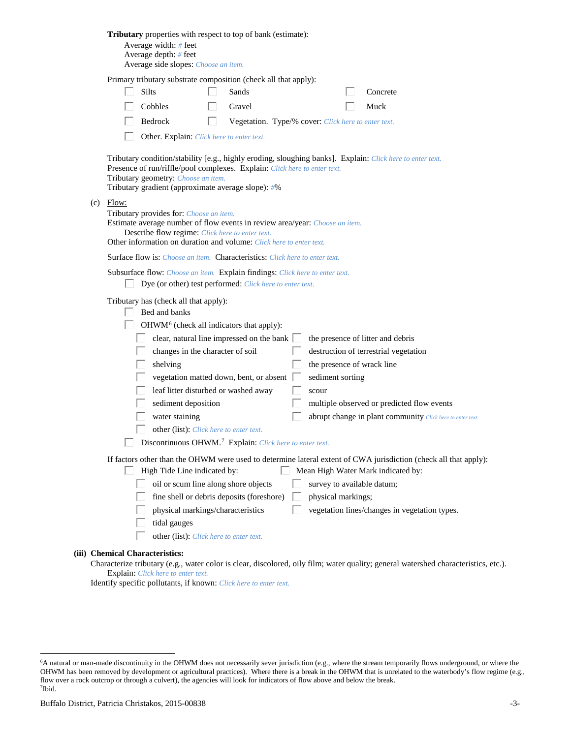| Tributary properties with respect to top of bank (estimate):<br>Average width: # feet<br>Average depth: $#$ feet<br>Average side slopes: Choose an item.                                                                                                                                                                                                                                                                                                                                                                                                                                                                                                                                                              |
|-----------------------------------------------------------------------------------------------------------------------------------------------------------------------------------------------------------------------------------------------------------------------------------------------------------------------------------------------------------------------------------------------------------------------------------------------------------------------------------------------------------------------------------------------------------------------------------------------------------------------------------------------------------------------------------------------------------------------|
| Primary tributary substrate composition (check all that apply):<br><b>Silts</b><br>Sands<br>Concrete<br>Cobbles<br>Gravel<br>Muck<br>Bedrock<br>Vegetation. Type/% cover: Click here to enter text.<br>l.<br>Other. Explain: Click here to enter text.                                                                                                                                                                                                                                                                                                                                                                                                                                                                |
| Tributary condition/stability [e.g., highly eroding, sloughing banks]. Explain: Click here to enter text.<br>Presence of run/riffle/pool complexes. Explain: Click here to enter text.<br>Tributary geometry: Choose an item.<br>Tributary gradient (approximate average slope): #%                                                                                                                                                                                                                                                                                                                                                                                                                                   |
| $(c)$ Flow:<br>Tributary provides for: Choose an item.<br>Estimate average number of flow events in review area/year: Choose an item.<br>Describe flow regime: Click here to enter text.<br>Other information on duration and volume: Click here to enter text.                                                                                                                                                                                                                                                                                                                                                                                                                                                       |
| <b>Surface flow is:</b> Choose an item. <b>Characteristics:</b> Click here to enter text.                                                                                                                                                                                                                                                                                                                                                                                                                                                                                                                                                                                                                             |
| Subsurface flow: Choose an item. Explain findings: Click here to enter text.<br>Dye (or other) test performed: Click here to enter text.                                                                                                                                                                                                                                                                                                                                                                                                                                                                                                                                                                              |
| Tributary has (check all that apply):<br>Bed and banks<br>OHWM <sup>6</sup> (check all indicators that apply):<br>clear, natural line impressed on the bank $\Box$<br>the presence of litter and debris<br>changes in the character of soil<br>destruction of terrestrial vegetation<br>shelving<br>the presence of wrack line<br>vegetation matted down, bent, or absent<br>sediment sorting<br>leaf litter disturbed or washed away<br>scour<br>sediment deposition<br>multiple observed or predicted flow events<br>water staining<br>abrupt change in plant community Click here to enter text.<br>other (list): Click here to enter text.<br>Discontinuous OHWM. <sup>7</sup> Explain: Click here to enter text. |
| If factors other than the OHWM were used to determine lateral extent of CWA jurisdiction (check all that apply):<br>High Tide Line indicated by:<br>Mean High Water Mark indicated by:<br>L<br>oil or scum line along shore objects<br>survey to available datum;<br>fine shell or debris deposits (foreshore)<br>physical markings;<br>physical markings/characteristics<br>vegetation lines/changes in vegetation types.<br>tidal gauges<br>other (list): Click here to enter text.                                                                                                                                                                                                                                 |
| (iii) Chemical Characteristics:<br>water color is clear, dissolved, oily film; water quality; conoral watershed characteristic                                                                                                                                                                                                                                                                                                                                                                                                                                                                                                                                                                                        |

Characterize tributary (e.g., water color is clear, discolored, oily film; water quality; general watershed characteristics, etc.). Explain: *Click here to enter text.*

Identify specific pollutants, if known: *Click here to enter text.*

<span id="page-2-1"></span><span id="page-2-0"></span> <sup>6</sup> <sup>6</sup>A natural or man-made discontinuity in the OHWM does not necessarily sever jurisdiction (e.g., where the stream temporarily flows underground, or where the OHWM has been removed by development or agricultural practices). Where there is a break in the OHWM that is unrelated to the waterbody's flow regime (e.g., flow over a rock outcrop or through a culvert), the agencies will look for indicators of flow above and below the break. 7 Ibid.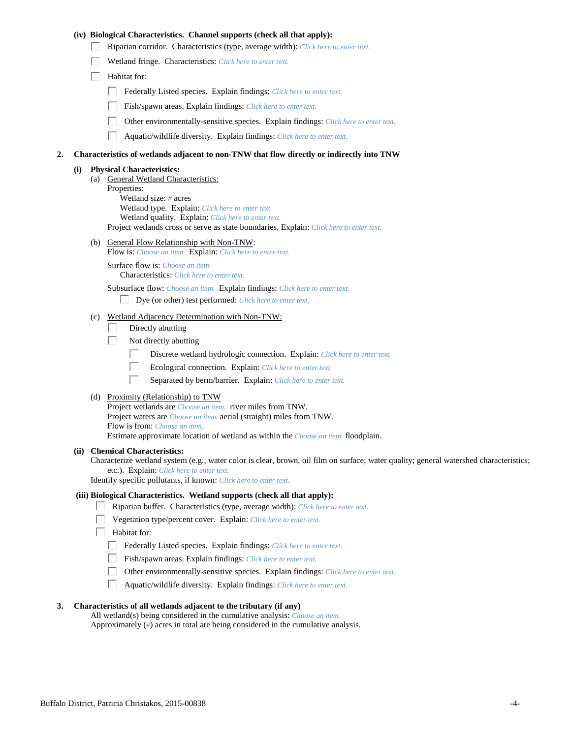## **(iv) Biological Characteristics. Channel supports (check all that apply):**

- Riparian corridor. Characteristics (type, average width): *Click here to enter text.*
- Wetland fringe. Characteristics: *Click here to enter text.*
- $\Box$  Habitat for:
	- Federally Listed species. Explain findings: *Click here to enter text.*
	- Fish/spawn areas. Explain findings: *Click here to enter text.*
	- Other environmentally-sensitive species. Explain findings: *Click here to enter text.*
	- $\Box$ Aquatic/wildlife diversity. Explain findings: *Click here to enter text.*

#### **2. Characteristics of wetlands adjacent to non-TNW that flow directly or indirectly into TNW**

#### **(i) Physical Characteristics:**

(a) General Wetland Characteristics: Properties: Wetland size: *#* acres Wetland type. Explain: *Click here to enter text.* Wetland quality. Explain: *Click here to enter text.* Project wetlands cross or serve as state boundaries. Explain: *Click here to enter text.*

(b) General Flow Relationship with Non-TNW:

Flow is: *Choose an item.* Explain: *Click here to enter text.*

Surface flow is: *Choose an item.* Characteristics: *Click here to enter text.*

Subsurface flow: *Choose an item.* Explain findings: *Click here to enter text.*

- Dye (or other) test performed: *Click here to enter text.*
- (c) Wetland Adjacency Determination with Non-TNW:
	- Directly abutting П.
	- П. Not directly abutting
		- П. Discrete wetland hydrologic connection. Explain: *Click here to enter text.*
		- П. Ecological connection. Explain: *Click here to enter text.*
		- П. Separated by berm/barrier. Explain: *Click here to enter text.*
- (d) Proximity (Relationship) to TNW

Project wetlands are *Choose an item.* river miles from TNW. Project waters are *Choose an item.* aerial (straight) miles from TNW. Flow is from: *Choose an item.* Estimate approximate location of wetland as within the *Choose an item.* floodplain.

#### **(ii) Chemical Characteristics:**

Characterize wetland system (e.g., water color is clear, brown, oil film on surface; water quality; general watershed characteristics; etc.). Explain: *Click here to enter text.*

Identify specific pollutants, if known: *Click here to enter text.*

## **(iii) Biological Characteristics. Wetland supports (check all that apply):**

- Riparian buffer. Characteristics (type, average width): *Click here to enter text.*
	- Vegetation type/percent cover. Explain: *Click here to enter text.*
	- Habitat for:
		- Federally Listed species. Explain findings: *Click here to enter text*.
		- Fish/spawn areas. Explain findings: *Click here to enter text.*
		- Other environmentally-sensitive species. Explain findings: *Click here to enter text.*  $\Box$
		- $\Box$ Aquatic/wildlife diversity. Explain findings: *Click here to enter text.*

## **3. Characteristics of all wetlands adjacent to the tributary (if any)**

All wetland(s) being considered in the cumulative analysis: *Choose an item.* Approximately (*#*) acres in total are being considered in the cumulative analysis.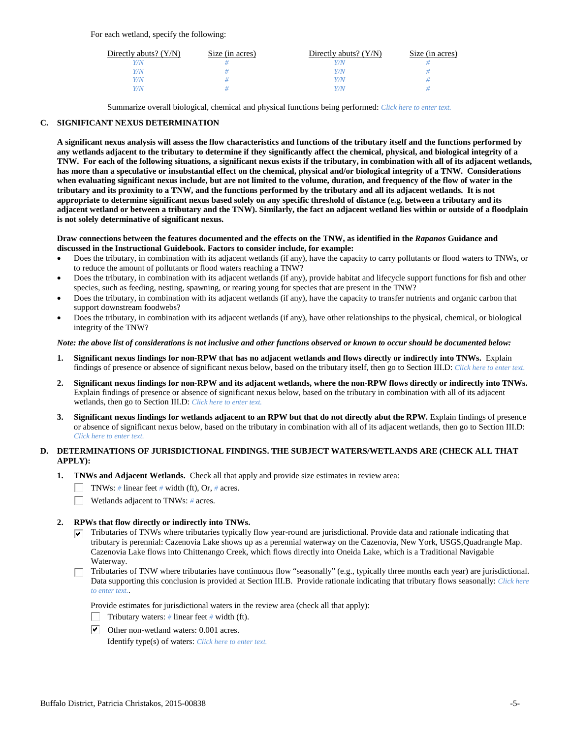For each wetland, specify the following:

| Directly abuts? $(Y/N)$ | Size (in acres) | Directly abuts? $(Y/N)$ | Size (in acres) |
|-------------------------|-----------------|-------------------------|-----------------|
|                         |                 |                         |                 |
| V/N                     |                 | Y/N                     |                 |
| V/N                     |                 | Y/N                     |                 |
|                         |                 | Y/N                     |                 |

Summarize overall biological, chemical and physical functions being performed: *Click here to enter text.*

# **C. SIGNIFICANT NEXUS DETERMINATION**

**A significant nexus analysis will assess the flow characteristics and functions of the tributary itself and the functions performed by any wetlands adjacent to the tributary to determine if they significantly affect the chemical, physical, and biological integrity of a TNW. For each of the following situations, a significant nexus exists if the tributary, in combination with all of its adjacent wetlands, has more than a speculative or insubstantial effect on the chemical, physical and/or biological integrity of a TNW. Considerations when evaluating significant nexus include, but are not limited to the volume, duration, and frequency of the flow of water in the tributary and its proximity to a TNW, and the functions performed by the tributary and all its adjacent wetlands. It is not appropriate to determine significant nexus based solely on any specific threshold of distance (e.g. between a tributary and its adjacent wetland or between a tributary and the TNW). Similarly, the fact an adjacent wetland lies within or outside of a floodplain is not solely determinative of significant nexus.** 

## **Draw connections between the features documented and the effects on the TNW, as identified in the** *Rapanos* **Guidance and discussed in the Instructional Guidebook. Factors to consider include, for example:**

- Does the tributary, in combination with its adjacent wetlands (if any), have the capacity to carry pollutants or flood waters to TNWs, or to reduce the amount of pollutants or flood waters reaching a TNW?
- Does the tributary, in combination with its adjacent wetlands (if any), provide habitat and lifecycle support functions for fish and other species, such as feeding, nesting, spawning, or rearing young for species that are present in the TNW?
- Does the tributary, in combination with its adjacent wetlands (if any), have the capacity to transfer nutrients and organic carbon that support downstream foodwebs?
- Does the tributary, in combination with its adjacent wetlands (if any), have other relationships to the physical, chemical, or biological integrity of the TNW?

## *Note: the above list of considerations is not inclusive and other functions observed or known to occur should be documented below:*

- **1. Significant nexus findings for non-RPW that has no adjacent wetlands and flows directly or indirectly into TNWs.** Explain findings of presence or absence of significant nexus below, based on the tributary itself, then go to Section III.D: *Click here to enter text.*
- **2. Significant nexus findings for non-RPW and its adjacent wetlands, where the non-RPW flows directly or indirectly into TNWs.**  Explain findings of presence or absence of significant nexus below, based on the tributary in combination with all of its adjacent wetlands, then go to Section III.D: *Click here to enter text.*
- **3. Significant nexus findings for wetlands adjacent to an RPW but that do not directly abut the RPW.** Explain findings of presence or absence of significant nexus below, based on the tributary in combination with all of its adjacent wetlands, then go to Section III.D: *Click here to enter text.*

# **D. DETERMINATIONS OF JURISDICTIONAL FINDINGS. THE SUBJECT WATERS/WETLANDS ARE (CHECK ALL THAT APPLY):**

- **1. TNWs and Adjacent Wetlands.** Check all that apply and provide size estimates in review area:
	- TNWs: *#* linear feet *#* width (ft), Or, *#* acres.
	- $\Box$ Wetlands adjacent to TNWs: *#* acres.
- **2. RPWs that flow directly or indirectly into TNWs.**
	- $\triangledown$  Tributaries of TNWs where tributaries typically flow year-round are jurisdictional. Provide data and rationale indicating that tributary is perennial: Cazenovia Lake shows up as a perennial waterway on the Cazenovia, New York, USGS,Quadrangle Map. Cazenovia Lake flows into Chittenango Creek, which flows directly into Oneida Lake, which is a Traditional Navigable Waterway.
	- Tributaries of TNW where tributaries have continuous flow "seasonally" (e.g., typically three months each year) are jurisdictional. Data supporting this conclusion is provided at Section III.B. Provide rationale indicating that tributary flows seasonally: *Click here to enter text.*.

Provide estimates for jurisdictional waters in the review area (check all that apply):

- Tributary waters: # linear feet # width (ft).
- $\triangleright$  Other non-wetland waters: 0.001 acres.

Identify type(s) of waters: *Click here to enter text.*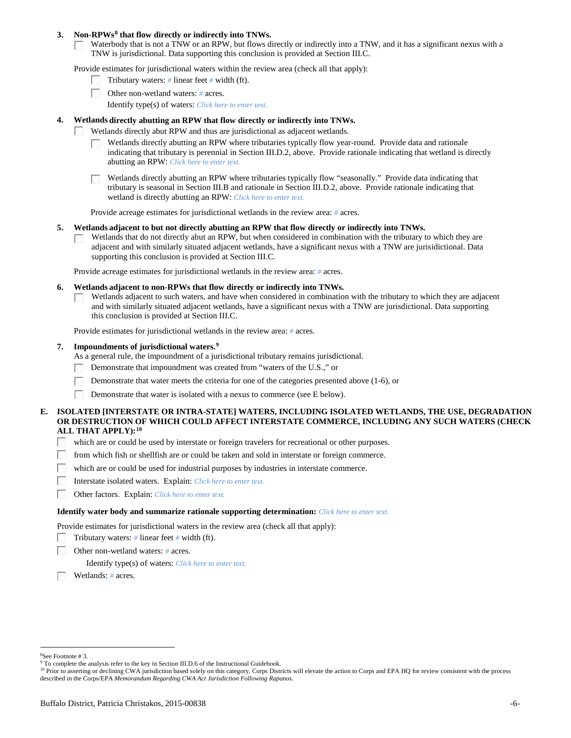## **3. Non-RPWs[8](#page-5-0) that flow directly or indirectly into TNWs.**

Waterbody that is not a TNW or an RPW, but flows directly or indirectly into a TNW, and it has a significant nexus with a TNW is jurisdictional. Data supporting this conclusion is provided at Section III.C.

Provide estimates for jurisdictional waters within the review area (check all that apply):

- Tributary waters: *#* linear feet *#* width (ft).  $\mathbf{L}$
- Other non-wetland waters: *#* acres.
	- Identify type(s) of waters: *Click here to enter text.*

## **4. Wetlands directly abutting an RPW that flow directly or indirectly into TNWs.**

- ГT. Wetlands directly abut RPW and thus are jurisdictional as adjacent wetlands.
	- Wetlands directly abutting an RPW where tributaries typically flow year-round. Provide data and rationale indicating that tributary is perennial in Section III.D.2, above. Provide rationale indicating that wetland is directly abutting an RPW: *Click here to enter text.*

Wetlands directly abutting an RPW where tributaries typically flow "seasonally." Provide data indicating that tributary is seasonal in Section III.B and rationale in Section III.D.2, above. Provide rationale indicating that wetland is directly abutting an RPW: *Click here to enter text.*

Provide acreage estimates for jurisdictional wetlands in the review area: *#* acres.

## **5. Wetlands adjacent to but not directly abutting an RPW that flow directly or indirectly into TNWs.**

Wetlands that do not directly abut an RPW, but when considered in combination with the tributary to which they are П adjacent and with similarly situated adjacent wetlands, have a significant nexus with a TNW are jurisidictional. Data supporting this conclusion is provided at Section III.C.

Provide acreage estimates for jurisdictional wetlands in the review area: *#* acres.

## **6. Wetlands adjacent to non-RPWs that flow directly or indirectly into TNWs.**

Wetlands adjacent to such waters, and have when considered in combination with the tributary to which they are adjacent П and with similarly situated adjacent wetlands, have a significant nexus with a TNW are jurisdictional. Data supporting this conclusion is provided at Section III.C.

Provide estimates for jurisdictional wetlands in the review area: *#* acres.

## **7. Impoundments of jurisdictional waters. [9](#page-5-1)**

As a general rule, the impoundment of a jurisdictional tributary remains jurisdictional.

- Demonstrate that impoundment was created from "waters of the U.S.," or
- Demonstrate that water meets the criteria for one of the categories presented above (1-6), or
- Demonstrate that water is isolated with a nexus to commerce (see E below). Г

## **E. ISOLATED [INTERSTATE OR INTRA-STATE] WATERS, INCLUDING ISOLATED WETLANDS, THE USE, DEGRADATION OR DESTRUCTION OF WHICH COULD AFFECT INTERSTATE COMMERCE, INCLUDING ANY SUCH WATERS (CHECK ALL THAT APPLY):[10](#page-5-2)**

- L. which are or could be used by interstate or foreign travelers for recreational or other purposes.
- from which fish or shellfish are or could be taken and sold in interstate or foreign commerce.
- which are or could be used for industrial purposes by industries in interstate commerce. П.
- Г Interstate isolated waters.Explain: *Click here to enter text.*
- п Other factors.Explain: *Click here to enter text.*

## **Identify water body and summarize rationale supporting determination:** *Click here to enter text.*

Provide estimates for jurisdictional waters in the review area (check all that apply):

- Tributary waters: *#* linear feet *#* width (ft).
- Other non-wetland waters: *#* acres.

Identify type(s) of waters: *Click here to enter text.*

Wetlands: *#* acres.

<span id="page-5-0"></span> $\frac{1}{8}$ See Footnote # 3.

<sup>&</sup>lt;sup>9</sup> To complete the analysis refer to the key in Section III.D.6 of the Instructional Guidebook.

<span id="page-5-2"></span><span id="page-5-1"></span><sup>&</sup>lt;sup>10</sup> Prior to asserting or declining CWA jurisdiction based solely on this category, Corps Districts will elevate the action to Corps and EPA HQ for review consistent with the process described in the Corps/EPA *Memorandum Regarding CWA Act Jurisdiction Following Rapanos.*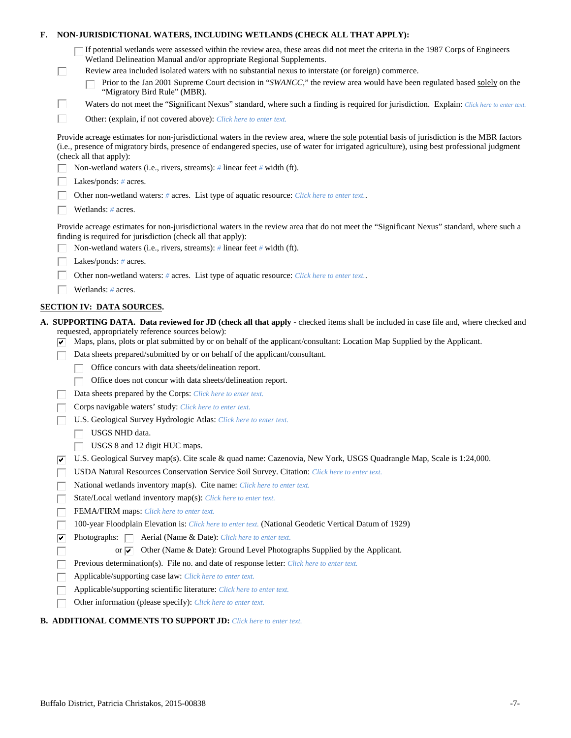| F. |    | NON-JURISDICTIONAL WATERS, INCLUDING WETLANDS (CHECK ALL THAT APPLY):                                                                                                                                                                                                                                                     |
|----|----|---------------------------------------------------------------------------------------------------------------------------------------------------------------------------------------------------------------------------------------------------------------------------------------------------------------------------|
|    |    | "If potential wetlands were assessed within the review area, these areas did not meet the criteria in the 1987 Corps of Engineers<br>Wetland Delineation Manual and/or appropriate Regional Supplements.                                                                                                                  |
|    | ш  | Review area included isolated waters with no substantial nexus to interstate (or foreign) commerce.<br>Prior to the Jan 2001 Supreme Court decision in "SWANCC," the review area would have been regulated based solely on the                                                                                            |
|    |    | "Migratory Bird Rule" (MBR).                                                                                                                                                                                                                                                                                              |
|    | Ш  | Waters do not meet the "Significant Nexus" standard, where such a finding is required for jurisdiction. Explain: Click here to enter text.                                                                                                                                                                                |
|    | П  | Other: (explain, if not covered above): Click here to enter text.                                                                                                                                                                                                                                                         |
|    |    | Provide acreage estimates for non-jurisdictional waters in the review area, where the sole potential basis of jurisdiction is the MBR factors<br>(i.e., presence of migratory birds, presence of endangered species, use of water for irrigated agriculture), using best professional judgment<br>(check all that apply): |
|    |    | Non-wetland waters (i.e., rivers, streams): # linear feet # width (ft).                                                                                                                                                                                                                                                   |
|    |    | Lakes/ponds: $# \, \text{acres.}$                                                                                                                                                                                                                                                                                         |
|    |    | Other non-wetland waters: # acres. List type of aquatic resource: Click here to enter text                                                                                                                                                                                                                                |
|    |    | Wetlands: # acres.                                                                                                                                                                                                                                                                                                        |
|    |    | Provide acreage estimates for non-jurisdictional waters in the review area that do not meet the "Significant Nexus" standard, where such a<br>finding is required for jurisdiction (check all that apply):                                                                                                                |
|    |    | Non-wetland waters (i.e., rivers, streams): $\#$ linear feet $\#$ width (ft).                                                                                                                                                                                                                                             |
|    |    | Lakes/ponds: # acres.                                                                                                                                                                                                                                                                                                     |
|    |    | Other non-wetland waters: # acres. List type of aquatic resource: Click here to enter text                                                                                                                                                                                                                                |
|    |    | Wetlands: # acres.                                                                                                                                                                                                                                                                                                        |
|    |    | <b>SECTION IV: DATA SOURCES.</b>                                                                                                                                                                                                                                                                                          |
|    | ⊮  | A. SUPPORTING DATA. Data reviewed for JD (check all that apply - checked items shall be included in case file and, where checked and<br>requested, appropriately reference sources below):<br>Maps, plans, plots or plat submitted by or on behalf of the applicant/consultant: Location Map Supplied by the Applicant.   |
|    |    | Data sheets prepared/submitted by or on behalf of the applicant/consultant.                                                                                                                                                                                                                                               |
|    |    | Office concurs with data sheets/delineation report.                                                                                                                                                                                                                                                                       |
|    |    | Office does not concur with data sheets/delineation report.                                                                                                                                                                                                                                                               |
|    |    | Data sheets prepared by the Corps: Click here to enter text.                                                                                                                                                                                                                                                              |
|    |    | Corps navigable waters' study: Click here to enter text.                                                                                                                                                                                                                                                                  |
|    |    | U.S. Geological Survey Hydrologic Atlas: Click here to enter text.                                                                                                                                                                                                                                                        |
|    |    | USGS NHD data.                                                                                                                                                                                                                                                                                                            |
|    |    | USGS 8 and 12 digit HUC maps.                                                                                                                                                                                                                                                                                             |
|    | ∣✔ | U.S. Geological Survey map(s). Cite scale & quad name: Cazenovia, New York, USGS Quadrangle Map, Scale is 1:24,000.                                                                                                                                                                                                       |
|    |    | USDA Natural Resources Conservation Service Soil Survey. Citation: Click here to enter text.                                                                                                                                                                                                                              |
|    |    | National wetlands inventory map(s). Cite name: Click here to enter text.                                                                                                                                                                                                                                                  |
|    |    | State/Local wetland inventory map(s): Click here to enter text.                                                                                                                                                                                                                                                           |
|    |    | FEMA/FIRM maps: Click here to enter text.                                                                                                                                                                                                                                                                                 |
|    |    | 100-year Floodplain Elevation is: Click here to enter text. (National Geodetic Vertical Datum of 1929)                                                                                                                                                                                                                    |
|    | ⊽  | Photographs: $\Box$<br>Aerial (Name & Date): Click here to enter text.                                                                                                                                                                                                                                                    |
|    |    | Other (Name & Date): Ground Level Photographs Supplied by the Applicant.<br>or $\overline{\mathbf{v}}$                                                                                                                                                                                                                    |
|    |    | Previous determination(s). File no. and date of response letter: Click here to enter text.                                                                                                                                                                                                                                |
|    |    | Applicable/supporting case law: Click here to enter text.                                                                                                                                                                                                                                                                 |
|    |    | Applicable/supporting scientific literature: Click here to enter text.                                                                                                                                                                                                                                                    |
|    |    | Other information (please specify): Click here to enter text.                                                                                                                                                                                                                                                             |

# **B. ADDITIONAL COMMENTS TO SUPPORT JD:** *Click here to enter text.*